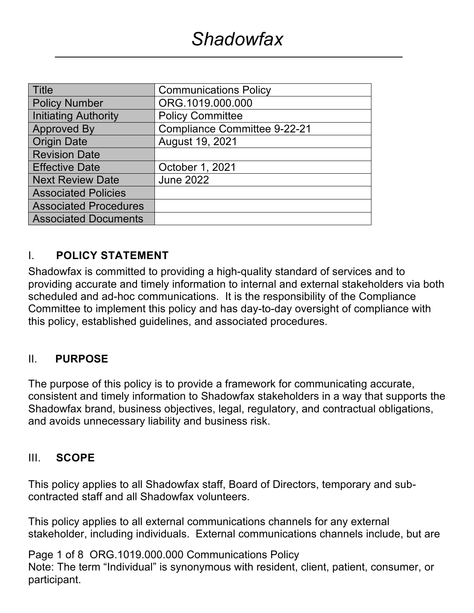| <b>Title</b>                 | <b>Communications Policy</b>        |
|------------------------------|-------------------------------------|
| <b>Policy Number</b>         | ORG.1019.000.000                    |
| <b>Initiating Authority</b>  | <b>Policy Committee</b>             |
| <b>Approved By</b>           | <b>Compliance Committee 9-22-21</b> |
| <b>Origin Date</b>           | August 19, 2021                     |
| <b>Revision Date</b>         |                                     |
| <b>Effective Date</b>        | October 1, 2021                     |
| <b>Next Review Date</b>      | <b>June 2022</b>                    |
| <b>Associated Policies</b>   |                                     |
| <b>Associated Procedures</b> |                                     |
| <b>Associated Documents</b>  |                                     |

#### I. **POLICY STATEMENT**

Shadowfax is committed to providing a high-quality standard of services and to providing accurate and timely information to internal and external stakeholders via both scheduled and ad-hoc communications. It is the responsibility of the Compliance Committee to implement this policy and has day-to-day oversight of compliance with this policy, established guidelines, and associated procedures.

#### II. **PURPOSE**

The purpose of this policy is to provide a framework for communicating accurate, consistent and timely information to Shadowfax stakeholders in a way that supports the Shadowfax brand, business objectives, legal, regulatory, and contractual obligations, and avoids unnecessary liability and business risk.

#### III. **SCOPE**

This policy applies to all Shadowfax staff, Board of Directors, temporary and subcontracted staff and all Shadowfax volunteers.

This policy applies to all external communications channels for any external stakeholder, including individuals. External communications channels include, but are

Page 1 of 8 ORG.1019.000.000 Communications Policy Note: The term "Individual" is synonymous with resident, client, patient, consumer, or participant.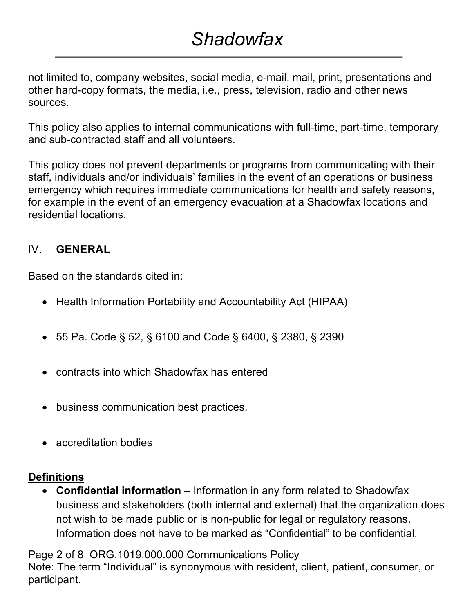### *Shadowfax*

not limited to, company websites, social media, e-mail, mail, print, presentations and other hard-copy formats, the media, i.e., press, television, radio and other news sources.

This policy also applies to internal communications with full-time, part-time, temporary and sub-contracted staff and all volunteers.

This policy does not prevent departments or programs from communicating with their staff, individuals and/or individuals' families in the event of an operations or business emergency which requires immediate communications for health and safety reasons, for example in the event of an emergency evacuation at a Shadowfax locations and residential locations.

#### IV. **GENERAL**

Based on the standards cited in:

- Health Information Portability and Accountability Act (HIPAA)
- 55 Pa. Code § 52, § 6100 and Code § 6400, § 2380, § 2390
- contracts into which Shadowfax has entered
- business communication best practices.
- accreditation bodies

#### **Definitions**

• **Confidential information** – Information in any form related to Shadowfax business and stakeholders (both internal and external) that the organization does not wish to be made public or is non-public for legal or regulatory reasons. Information does not have to be marked as "Confidential" to be confidential.

Page 2 of 8 ORG.1019.000.000 Communications Policy

Note: The term "Individual" is synonymous with resident, client, patient, consumer, or participant.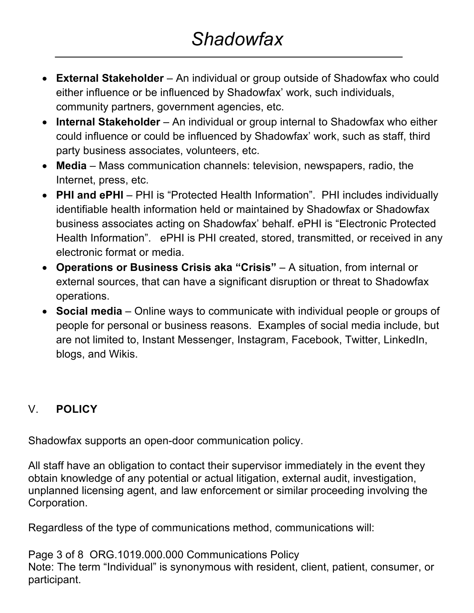- **External Stakeholder** An individual or group outside of Shadowfax who could either influence or be influenced by Shadowfax' work, such individuals, community partners, government agencies, etc.
- **Internal Stakeholder** An individual or group internal to Shadowfax who either could influence or could be influenced by Shadowfax' work, such as staff, third party business associates, volunteers, etc.
- **Media**  Mass communication channels: television, newspapers, radio, the Internet, press, etc.
- **PHI and ePHI** PHI is "Protected Health Information". PHI includes individually identifiable health information held or maintained by Shadowfax or Shadowfax business associates acting on Shadowfax' behalf. ePHI is "Electronic Protected Health Information". ePHI is PHI created, stored, transmitted, or received in any electronic format or media.
- **Operations or Business Crisis aka "Crisis"** A situation, from internal or external sources, that can have a significant disruption or threat to Shadowfax operations.
- **Social media** Online ways to communicate with individual people or groups of people for personal or business reasons. Examples of social media include, but are not limited to, Instant Messenger, Instagram, Facebook, Twitter, LinkedIn, blogs, and Wikis.

### V. **POLICY**

Shadowfax supports an open-door communication policy.

All staff have an obligation to contact their supervisor immediately in the event they obtain knowledge of any potential or actual litigation, external audit, investigation, unplanned licensing agent, and law enforcement or similar proceeding involving the Corporation.

Regardless of the type of communications method, communications will:

Page 3 of 8 ORG.1019.000.000 Communications Policy Note: The term "Individual" is synonymous with resident, client, patient, consumer, or participant.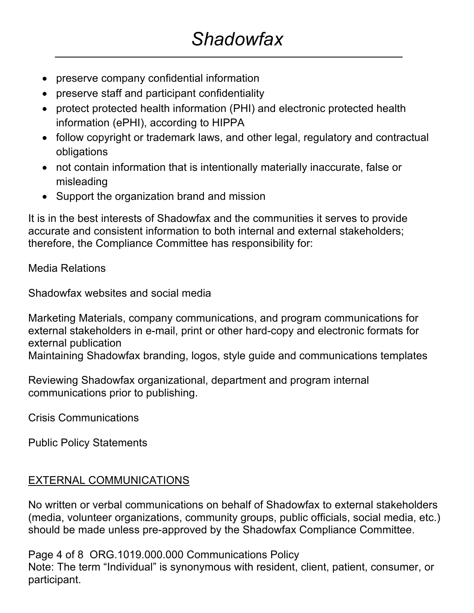- preserve company confidential information
- preserve staff and participant confidentiality
- protect protected health information (PHI) and electronic protected health information (ePHI), according to HIPPA
- follow copyright or trademark laws, and other legal, regulatory and contractual obligations
- not contain information that is intentionally materially inaccurate, false or misleading
- Support the organization brand and mission

It is in the best interests of Shadowfax and the communities it serves to provide accurate and consistent information to both internal and external stakeholders; therefore, the Compliance Committee has responsibility for:

Media Relations

Shadowfax websites and social media

Marketing Materials, company communications, and program communications for external stakeholders in e-mail, print or other hard-copy and electronic formats for external publication

Maintaining Shadowfax branding, logos, style guide and communications templates

Reviewing Shadowfax organizational, department and program internal communications prior to publishing.

Crisis Communications

Public Policy Statements

#### EXTERNAL COMMUNICATIONS

No written or verbal communications on behalf of Shadowfax to external stakeholders (media, volunteer organizations, community groups, public officials, social media, etc.) should be made unless pre-approved by the Shadowfax Compliance Committee.

Page 4 of 8 ORG.1019.000.000 Communications Policy

Note: The term "Individual" is synonymous with resident, client, patient, consumer, or participant.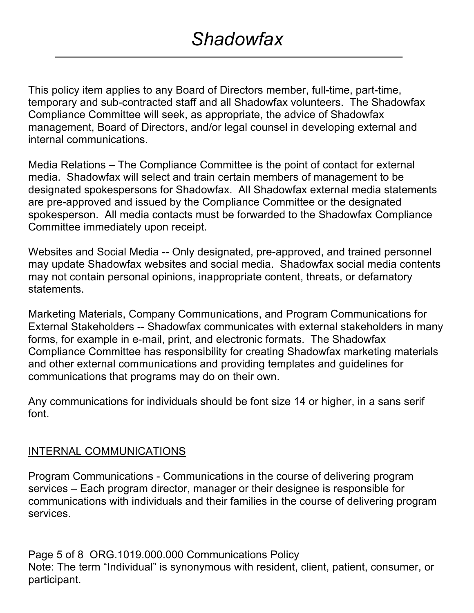This policy item applies to any Board of Directors member, full-time, part-time, temporary and sub-contracted staff and all Shadowfax volunteers. The Shadowfax Compliance Committee will seek, as appropriate, the advice of Shadowfax management, Board of Directors, and/or legal counsel in developing external and internal communications.

Media Relations – The Compliance Committee is the point of contact for external media. Shadowfax will select and train certain members of management to be designated spokespersons for Shadowfax. All Shadowfax external media statements are pre-approved and issued by the Compliance Committee or the designated spokesperson. All media contacts must be forwarded to the Shadowfax Compliance Committee immediately upon receipt.

Websites and Social Media -- Only designated, pre-approved, and trained personnel may update Shadowfax websites and social media. Shadowfax social media contents may not contain personal opinions, inappropriate content, threats, or defamatory statements.

Marketing Materials, Company Communications, and Program Communications for External Stakeholders -- Shadowfax communicates with external stakeholders in many forms, for example in e-mail, print, and electronic formats. The Shadowfax Compliance Committee has responsibility for creating Shadowfax marketing materials and other external communications and providing templates and guidelines for communications that programs may do on their own.

Any communications for individuals should be font size 14 or higher, in a sans serif font.

#### INTERNAL COMMUNICATIONS

Program Communications - Communications in the course of delivering program services – Each program director, manager or their designee is responsible for communications with individuals and their families in the course of delivering program services.

Page 5 of 8 ORG.1019.000.000 Communications Policy Note: The term "Individual" is synonymous with resident, client, patient, consumer, or participant.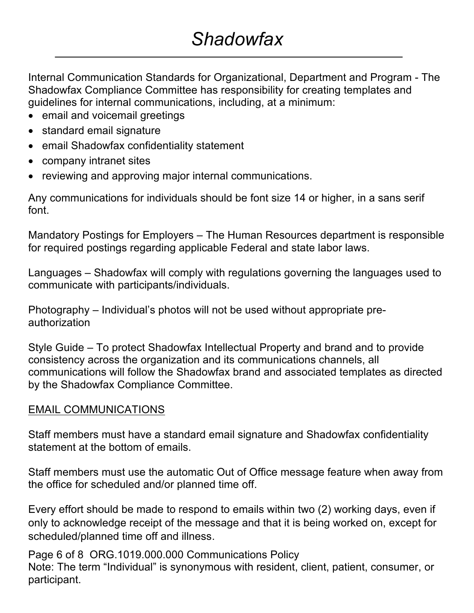# *Shadowfax*

Internal Communication Standards for Organizational, Department and Program - The Shadowfax Compliance Committee has responsibility for creating templates and guidelines for internal communications, including, at a minimum:

- email and voicemail greetings
- standard email signature
- email Shadowfax confidentiality statement
- company intranet sites
- reviewing and approving major internal communications.

Any communications for individuals should be font size 14 or higher, in a sans serif font.

Mandatory Postings for Employers – The Human Resources department is responsible for required postings regarding applicable Federal and state labor laws.

Languages – Shadowfax will comply with regulations governing the languages used to communicate with participants/individuals.

Photography – Individual's photos will not be used without appropriate preauthorization

Style Guide – To protect Shadowfax Intellectual Property and brand and to provide consistency across the organization and its communications channels, all communications will follow the Shadowfax brand and associated templates as directed by the Shadowfax Compliance Committee.

#### EMAIL COMMUNICATIONS

Staff members must have a standard email signature and Shadowfax confidentiality statement at the bottom of emails.

Staff members must use the automatic Out of Office message feature when away from the office for scheduled and/or planned time off.

Every effort should be made to respond to emails within two (2) working days, even if only to acknowledge receipt of the message and that it is being worked on, except for scheduled/planned time off and illness.

Page 6 of 8 ORG.1019.000.000 Communications Policy Note: The term "Individual" is synonymous with resident, client, patient, consumer, or participant.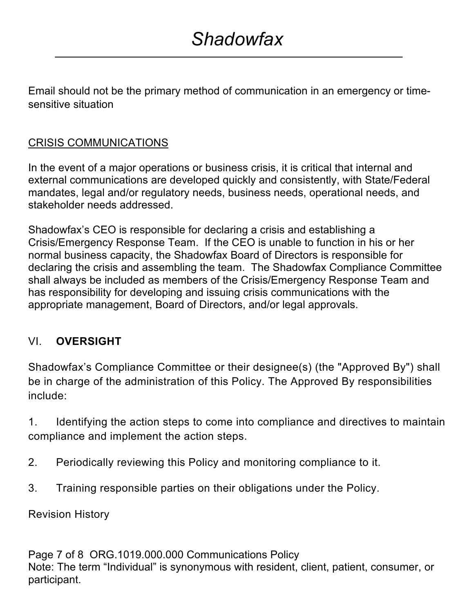Email should not be the primary method of communication in an emergency or timesensitive situation

### CRISIS COMMUNICATIONS

In the event of a major operations or business crisis, it is critical that internal and external communications are developed quickly and consistently, with State/Federal mandates, legal and/or regulatory needs, business needs, operational needs, and stakeholder needs addressed.

Shadowfax's CEO is responsible for declaring a crisis and establishing a Crisis/Emergency Response Team. If the CEO is unable to function in his or her normal business capacity, the Shadowfax Board of Directors is responsible for declaring the crisis and assembling the team. The Shadowfax Compliance Committee shall always be included as members of the Crisis/Emergency Response Team and has responsibility for developing and issuing crisis communications with the appropriate management, Board of Directors, and/or legal approvals.

#### VI. **OVERSIGHT**

Shadowfax's Compliance Committee or their designee(s) (the "Approved By") shall be in charge of the administration of this Policy. The Approved By responsibilities include:

1. Identifying the action steps to come into compliance and directives to maintain compliance and implement the action steps.

- 2. Periodically reviewing this Policy and monitoring compliance to it.
- 3. Training responsible parties on their obligations under the Policy.

Revision History

Page 7 of 8 ORG.1019.000.000 Communications Policy Note: The term "Individual" is synonymous with resident, client, patient, consumer, or participant.